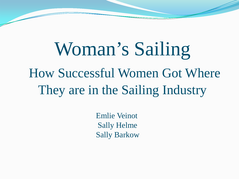# Woman's Sailing How Successful Women Got Where They are in the Sailing Industry

Emlie Veinot Sally Helme Sally Barkow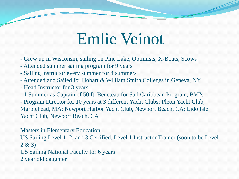### Emlie Veinot

- Grew up in Wisconsin, sailing on Pine Lake, Optimists, X-Boats, Scows
- Attended summer sailing program for 9 years
- Sailing instructor every summer for 4 summers
- Attended and Sailed for Hobart & William Smith Colleges in Geneva, NY
- Head Instructor for 3 years
- 1 Summer as Captain of 50 ft. Beneteau for Sail Caribbean Program, BVI's

- Program Director for 10 years at 3 different Yacht Clubs: Pleon Yacht Club, Marblehead, MA; Newport Harbor Yacht Club, Newport Beach, CA; Lido Isle Yacht Club, Newport Beach, CA

Masters in Elementary Education US Sailing Level 1, 2, and 3 Certified, Level 1 Instructor Trainer (soon to be Level  $2 & 3)$ US Sailing National Faculty for 6 years 2 year old daughter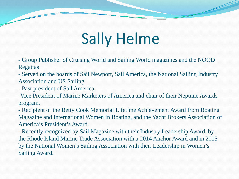# Sally Helme

- Group Publisher of Cruising World and Sailing World magazines and the NOOD Regattas

- Served on the boards of Sail Newport, Sail America, the National Sailing Industry Association and US Sailing.

- Past president of Sail America.

-Vice President of Marine Marketers of America and chair of their Neptune Awards program.

- Recipient of the Betty Cook Memorial Lifetime Achievement Award from Boating Magazine and International Women in Boating, and the Yacht Brokers Association of America's President's Award.

- Recently recognized by Sail Magazine with their Industry Leadership Award, by the Rhode Island Marine Trade Association with a 2014 Anchor Award and in 2015 by the National Women's Sailing Association with their Leadership in Women's Sailing Award.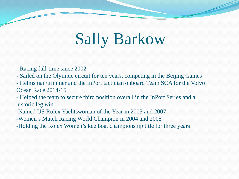# Sally Barkow

- Racing full-time since 2002
- Sailed on the Olympic circuit for ten years, competing in the Beijing Games
- Helmsman/trimmer and the InPort tactician onboard Team SCA for the Volvo Ocean Race 2014-15
- Helped the team to secure third position overall in the InPort Series and a historic leg win.
- -Named US Rolex Yachtswoman of the Year in 2005 and 2007
- -Women's Match Racing World Champion in 2004 and 2005
- -Holding the Rolex Women's keelboat championship title for three years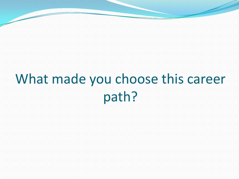## What made you choose this career path?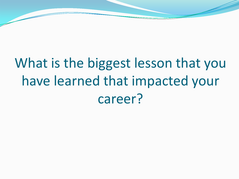# What is the biggest lesson that you have learned that impacted your career?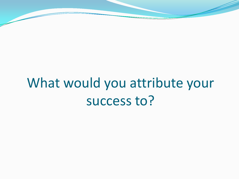### What would you attribute your success to?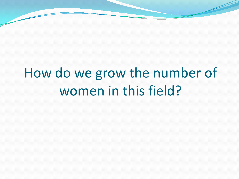### How do we grow the number of women in this field?